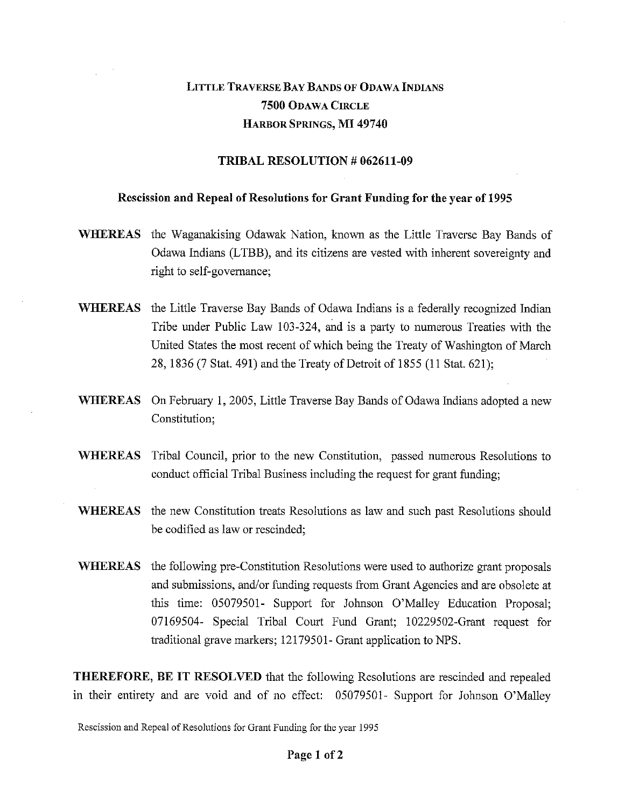# LITTLE TRAVERSE BAY BANDS OF ODAWA INDIANS **7500** ODAWA CIRCLE HARBOR SPRINGS, **MI 49740**

### **TRIBAL RESOLUTION # 062611-09**

#### **Rescission and Repeal of Resolutions for Grant Funding for the year of 1995**

- **WHEREAS** the Waganakising Odawak Nation, known as the Little Traverse Bay Bands of Odawa Indians (LTBB), and its citizens are vested with inherent sovereignty and right to self-governance;
- **WHEREAS** the Little Traverse Bay Bands of Odawa Indians is a federally recognized Indian Tribe under Public Law 103-324, and is a party to numerous Treaties with the United States the most recent of which being the Treaty of Washington of March 28, 1836 (7 Stat. 491) and the Treaty of Detroit of 1855 (11 Stat. 621);
- **WHEREAS** On February 1, 2005, Little Traverse Bay Bands of Odawa Indians adopted a new Constitution;
- **WHEREAS** Tribal Council, prior to the new Constitution, passed numerous Resolutions to conduct official Tribal Business including the request for grant funding;
- **WHEREAS** the new Constitution treats Resolutions as law and such past Resolutions should be codified as law or rescinded;
- **WHEREAS** the following pre-Constitution Resolutions were used to authorize grant proposals and submissions, and/or funding requests from Grant Agencies and are obsolete at this time: 05079501- Support for Johnson O'Malley Education Proposal; 07169504- Special Tribal Court Fund Grant; 10229502-Grant request for traditional grave markers; 12179501- Grant application to NPS.

**THEREFORE, BE IT RESOLVED** that the following Resolutions are rescinded and repealed in their entirety and are void and of no effect: 05079501- Support for Johnson O'Malley

Rescission and Repeal of Resolutions for Grant Funding for the year 1995

#### **Page 1 of 2**